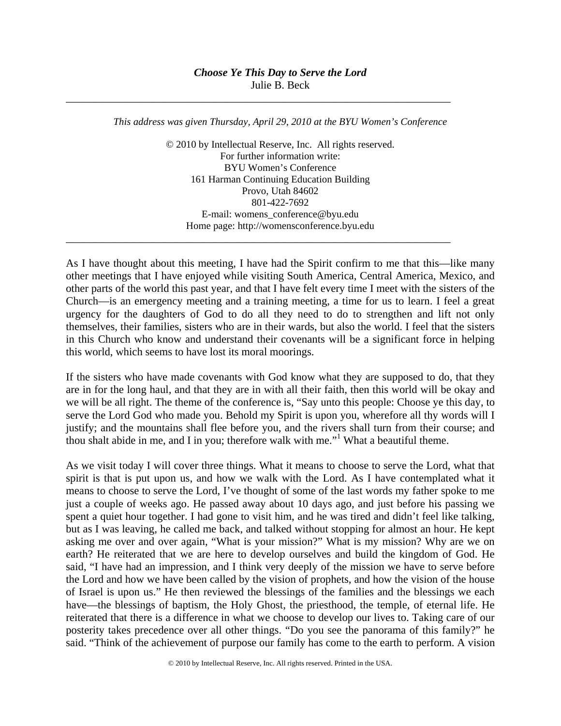\_\_\_\_\_\_\_\_\_\_\_\_\_\_\_\_\_\_\_\_\_\_\_\_\_\_\_\_\_\_\_\_\_\_\_\_\_\_\_\_\_\_\_\_\_\_\_\_\_\_\_\_\_\_\_\_\_\_\_\_\_\_\_\_\_\_\_\_\_\_

\_\_\_\_\_\_\_\_\_\_\_\_\_\_\_\_\_\_\_\_\_\_\_\_\_\_\_\_\_\_\_\_\_\_\_\_\_\_\_\_\_\_\_\_\_\_\_\_\_\_\_\_\_\_\_\_\_\_\_\_\_\_\_\_\_\_\_\_\_\_

*This address was given Thursday, April 29, 2010 at the BYU Women's Conference* 

© 2010 by Intellectual Reserve, Inc. All rights reserved. For further information write: BYU Women's Conference 161 Harman Continuing Education Building Provo, Utah 84602 801-422-7692 E-mail: womens\_conference@byu.edu Home page: http://womensconference.byu.edu

As I have thought about this meeting, I have had the Spirit confirm to me that this—like many other meetings that I have enjoyed while visiting South America, Central America, Mexico, and other parts of the world this past year, and that I have felt every time I meet with the sisters of the Church—is an emergency meeting and a training meeting, a time for us to learn. I feel a great urgency for the daughters of God to do all they need to do to strengthen and lift not only themselves, their families, sisters who are in their wards, but also the world. I feel that the sisters in this Church who know and understand their covenants will be a significant force in helping this world, which seems to have lost its moral moorings.

If the sisters who have made covenants with God know what they are supposed to do, that they are in for the long haul, and that they are in with all their faith, then this world will be okay and we will be all right. The theme of the conference is, "Say unto this people: Choose ye this day, to serve the Lord God who made you. Behold my Spirit is upon you, wherefore all thy words will I justify; and the mountains shall flee before you, and the rivers shall turn from their course; and thou shalt abide in me, and I in you; therefore walk with me."<sup>1</sup> What a beautiful theme.

As we visit today I will cover three things. What it means to choose to serve the Lord, what that spirit is that is put upon us, and how we walk with the Lord. As I have contemplated what it means to choose to serve the Lord, I've thought of some of the last words my father spoke to me just a couple of weeks ago. He passed away about 10 days ago, and just before his passing we spent a quiet hour together. I had gone to visit him, and he was tired and didn't feel like talking, but as I was leaving, he called me back, and talked without stopping for almost an hour. He kept asking me over and over again, "What is your mission?" What is my mission? Why are we on earth? He reiterated that we are here to develop ourselves and build the kingdom of God. He said, "I have had an impression, and I think very deeply of the mission we have to serve before the Lord and how we have been called by the vision of prophets, and how the vision of the house of Israel is upon us." He then reviewed the blessings of the families and the blessings we each have—the blessings of baptism, the Holy Ghost, the priesthood, the temple, of eternal life. He reiterated that there is a difference in what we choose to develop our lives to. Taking care of our posterity takes precedence over all other things. "Do you see the panorama of this family?" he said. "Think of the achievement of purpose our family has come to the earth to perform. A vision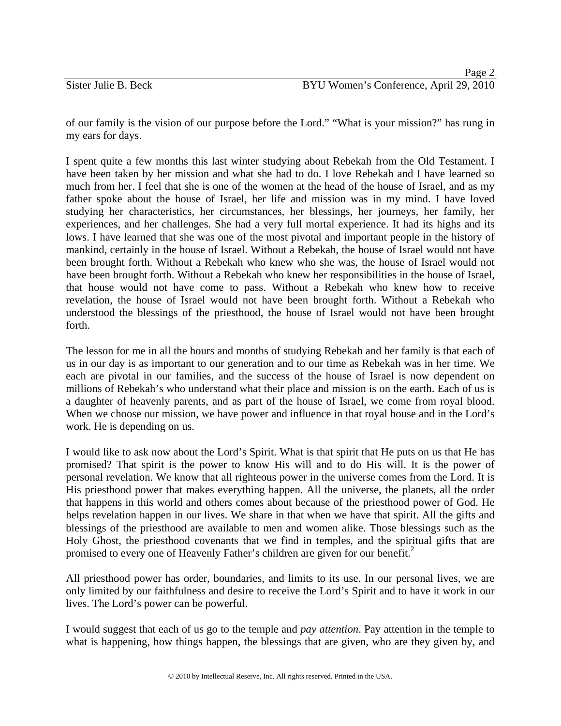of our family is the vision of our purpose before the Lord." "What is your mission?" has rung in my ears for days.

I spent quite a few months this last winter studying about Rebekah from the Old Testament. I have been taken by her mission and what she had to do. I love Rebekah and I have learned so much from her. I feel that she is one of the women at the head of the house of Israel, and as my father spoke about the house of Israel, her life and mission was in my mind. I have loved studying her characteristics, her circumstances, her blessings, her journeys, her family, her experiences, and her challenges. She had a very full mortal experience. It had its highs and its lows. I have learned that she was one of the most pivotal and important people in the history of mankind, certainly in the house of Israel. Without a Rebekah, the house of Israel would not have been brought forth. Without a Rebekah who knew who she was, the house of Israel would not have been brought forth. Without a Rebekah who knew her responsibilities in the house of Israel, that house would not have come to pass. Without a Rebekah who knew how to receive revelation, the house of Israel would not have been brought forth. Without a Rebekah who understood the blessings of the priesthood, the house of Israel would not have been brought forth.

The lesson for me in all the hours and months of studying Rebekah and her family is that each of us in our day is as important to our generation and to our time as Rebekah was in her time. We each are pivotal in our families, and the success of the house of Israel is now dependent on millions of Rebekah's who understand what their place and mission is on the earth. Each of us is a daughter of heavenly parents, and as part of the house of Israel, we come from royal blood. When we choose our mission, we have power and influence in that royal house and in the Lord's work. He is depending on us.

I would like to ask now about the Lord's Spirit. What is that spirit that He puts on us that He has promised? That spirit is the power to know His will and to do His will. It is the power of personal revelation. We know that all righteous power in the universe comes from the Lord. It is His priesthood power that makes everything happen. All the universe, the planets, all the order that happens in this world and others comes about because of the priesthood power of God. He helps revelation happen in our lives. We share in that when we have that spirit. All the gifts and blessings of the priesthood are available to men and women alike. Those blessings such as the Holy Ghost, the priesthood covenants that we find in temples, and the spiritual gifts that are promised to every one of Heavenly Father's children are given for our benefit.<sup>2</sup>

All priesthood power has order, boundaries, and limits to its use. In our personal lives, we are only limited by our faithfulness and desire to receive the Lord's Spirit and to have it work in our lives. The Lord's power can be powerful.

I would suggest that each of us go to the temple and *pay attention*. Pay attention in the temple to what is happening, how things happen, the blessings that are given, who are they given by, and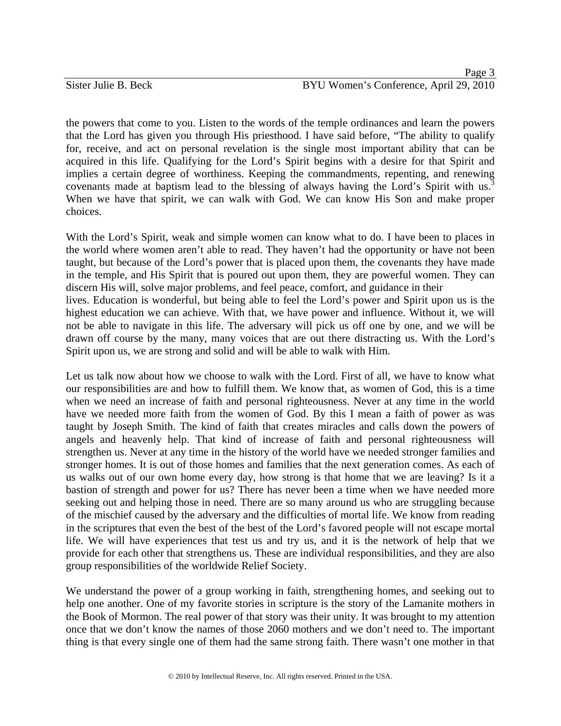## **Page 3** Sister Julie B. Beck BYU Women's Conference, April 29, 2010

the powers that come to you. Listen to the words of the temple ordinances and learn the powers that the Lord has given you through His priesthood. I have said before, "The ability to qualify for, receive, and act on personal revelation is the single most important ability that can be acquired in this life. Qualifying for the Lord's Spirit begins with a desire for that Spirit and implies a certain degree of worthiness. Keeping the commandments, repenting, and renewing covenants made at baptism lead to the blessing of always having the Lord's Spirit with us.<sup>3</sup> When we have that spirit, we can walk with God. We can know His Son and make proper choices.

With the Lord's Spirit, weak and simple women can know what to do. I have been to places in the world where women aren't able to read. They haven't had the opportunity or have not been taught, but because of the Lord's power that is placed upon them, the covenants they have made in the temple, and His Spirit that is poured out upon them, they are powerful women. They can discern His will, solve major problems, and feel peace, comfort, and guidance in their lives. Education is wonderful, but being able to feel the Lord's power and Spirit upon us is the highest education we can achieve. With that, we have power and influence. Without it, we will not be able to navigate in this life. The adversary will pick us off one by one, and we will be drawn off course by the many, many voices that are out there distracting us. With the Lord's Spirit upon us, we are strong and solid and will be able to walk with Him.

Let us talk now about how we choose to walk with the Lord. First of all, we have to know what our responsibilities are and how to fulfill them. We know that, as women of God, this is a time when we need an increase of faith and personal righteousness. Never at any time in the world have we needed more faith from the women of God. By this I mean a faith of power as was taught by Joseph Smith. The kind of faith that creates miracles and calls down the powers of angels and heavenly help. That kind of increase of faith and personal righteousness will strengthen us. Never at any time in the history of the world have we needed stronger families and stronger homes. It is out of those homes and families that the next generation comes. As each of us walks out of our own home every day, how strong is that home that we are leaving? Is it a bastion of strength and power for us? There has never been a time when we have needed more seeking out and helping those in need. There are so many around us who are struggling because of the mischief caused by the adversary and the difficulties of mortal life. We know from reading in the scriptures that even the best of the best of the Lord's favored people will not escape mortal life. We will have experiences that test us and try us, and it is the network of help that we provide for each other that strengthens us. These are individual responsibilities, and they are also group responsibilities of the worldwide Relief Society.

We understand the power of a group working in faith, strengthening homes, and seeking out to help one another. One of my favorite stories in scripture is the story of the Lamanite mothers in the Book of Mormon. The real power of that story was their unity. It was brought to my attention once that we don't know the names of those 2060 mothers and we don't need to. The important thing is that every single one of them had the same strong faith. There wasn't one mother in that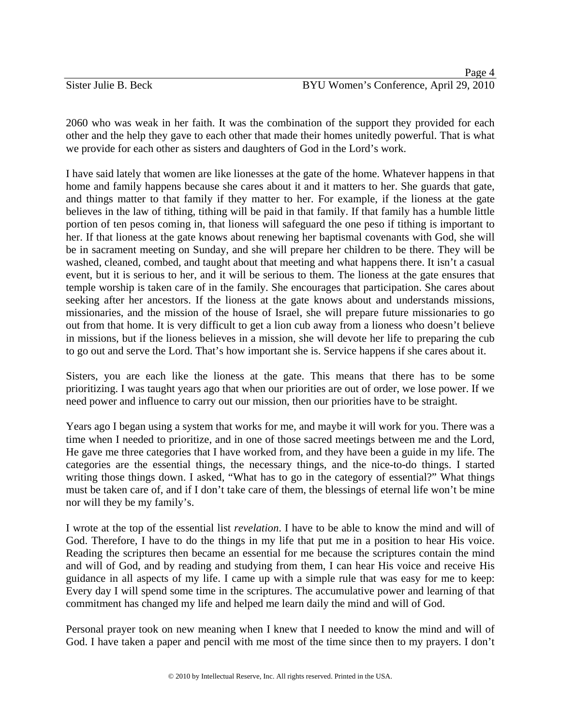|                      | Page 4                                 |
|----------------------|----------------------------------------|
| Sister Julie B. Beck | BYU Women's Conference, April 29, 2010 |

2060 who was weak in her faith. It was the combination of the support they provided for each other and the help they gave to each other that made their homes unitedly powerful. That is what we provide for each other as sisters and daughters of God in the Lord's work.

I have said lately that women are like lionesses at the gate of the home. Whatever happens in that home and family happens because she cares about it and it matters to her. She guards that gate, and things matter to that family if they matter to her. For example, if the lioness at the gate believes in the law of tithing, tithing will be paid in that family. If that family has a humble little portion of ten pesos coming in, that lioness will safeguard the one peso if tithing is important to her. If that lioness at the gate knows about renewing her baptismal covenants with God, she will be in sacrament meeting on Sunday, and she will prepare her children to be there. They will be washed, cleaned, combed, and taught about that meeting and what happens there. It isn't a casual event, but it is serious to her, and it will be serious to them. The lioness at the gate ensures that temple worship is taken care of in the family. She encourages that participation. She cares about seeking after her ancestors. If the lioness at the gate knows about and understands missions, missionaries, and the mission of the house of Israel, she will prepare future missionaries to go out from that home. It is very difficult to get a lion cub away from a lioness who doesn't believe in missions, but if the lioness believes in a mission, she will devote her life to preparing the cub to go out and serve the Lord. That's how important she is. Service happens if she cares about it.

Sisters, you are each like the lioness at the gate. This means that there has to be some prioritizing. I was taught years ago that when our priorities are out of order, we lose power. If we need power and influence to carry out our mission, then our priorities have to be straight.

Years ago I began using a system that works for me, and maybe it will work for you. There was a time when I needed to prioritize, and in one of those sacred meetings between me and the Lord, He gave me three categories that I have worked from, and they have been a guide in my life. The categories are the essential things, the necessary things, and the nice-to-do things. I started writing those things down. I asked, "What has to go in the category of essential?" What things must be taken care of, and if I don't take care of them, the blessings of eternal life won't be mine nor will they be my family's.

I wrote at the top of the essential list *revelation*. I have to be able to know the mind and will of God. Therefore, I have to do the things in my life that put me in a position to hear His voice. Reading the scriptures then became an essential for me because the scriptures contain the mind and will of God, and by reading and studying from them, I can hear His voice and receive His guidance in all aspects of my life. I came up with a simple rule that was easy for me to keep: Every day I will spend some time in the scriptures. The accumulative power and learning of that commitment has changed my life and helped me learn daily the mind and will of God.

Personal prayer took on new meaning when I knew that I needed to know the mind and will of God. I have taken a paper and pencil with me most of the time since then to my prayers. I don't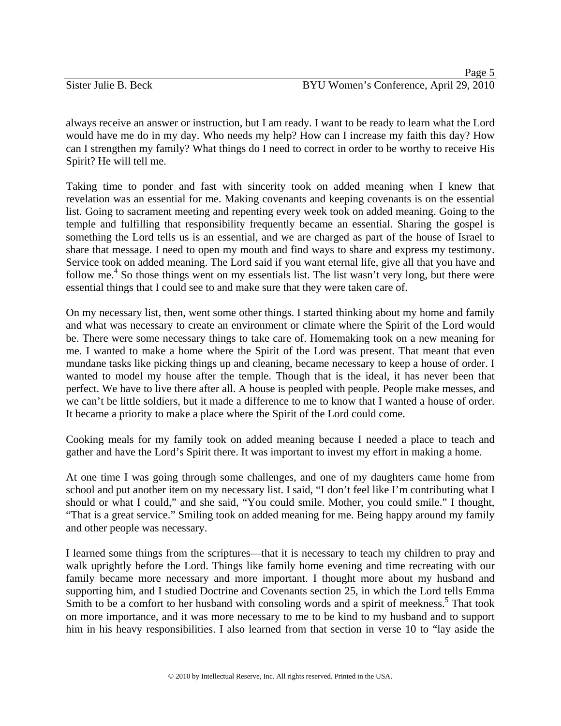always receive an answer or instruction, but I am ready. I want to be ready to learn what the Lord would have me do in my day. Who needs my help? How can I increase my faith this day? How can I strengthen my family? What things do I need to correct in order to be worthy to receive His Spirit? He will tell me.

Taking time to ponder and fast with sincerity took on added meaning when I knew that revelation was an essential for me. Making covenants and keeping covenants is on the essential list. Going to sacrament meeting and repenting every week took on added meaning. Going to the temple and fulfilling that responsibility frequently became an essential. Sharing the gospel is something the Lord tells us is an essential, and we are charged as part of the house of Israel to share that message. I need to open my mouth and find ways to share and express my testimony. Service took on added meaning. The Lord said if you want eternal life, give all that you have and follow me.<sup>4</sup> So those things went on my essentials list. The list wasn't very long, but there were essential things that I could see to and make sure that they were taken care of.

On my necessary list, then, went some other things. I started thinking about my home and family and what was necessary to create an environment or climate where the Spirit of the Lord would be. There were some necessary things to take care of. Homemaking took on a new meaning for me. I wanted to make a home where the Spirit of the Lord was present. That meant that even mundane tasks like picking things up and cleaning, became necessary to keep a house of order. I wanted to model my house after the temple. Though that is the ideal, it has never been that perfect. We have to live there after all. A house is peopled with people. People make messes, and we can't be little soldiers, but it made a difference to me to know that I wanted a house of order. It became a priority to make a place where the Spirit of the Lord could come.

Cooking meals for my family took on added meaning because I needed a place to teach and gather and have the Lord's Spirit there. It was important to invest my effort in making a home.

At one time I was going through some challenges, and one of my daughters came home from school and put another item on my necessary list. I said, "I don't feel like I'm contributing what I should or what I could," and she said, "You could smile. Mother, you could smile." I thought, "That is a great service." Smiling took on added meaning for me. Being happy around my family and other people was necessary.

I learned some things from the scriptures—that it is necessary to teach my children to pray and walk uprightly before the Lord. Things like family home evening and time recreating with our family became more necessary and more important. I thought more about my husband and supporting him, and I studied Doctrine and Covenants section 25, in which the Lord tells Emma Smith to be a comfort to her husband with consoling words and a spirit of meekness.<sup>5</sup> That took on more importance, and it was more necessary to me to be kind to my husband and to support him in his heavy responsibilities. I also learned from that section in verse 10 to "lay aside the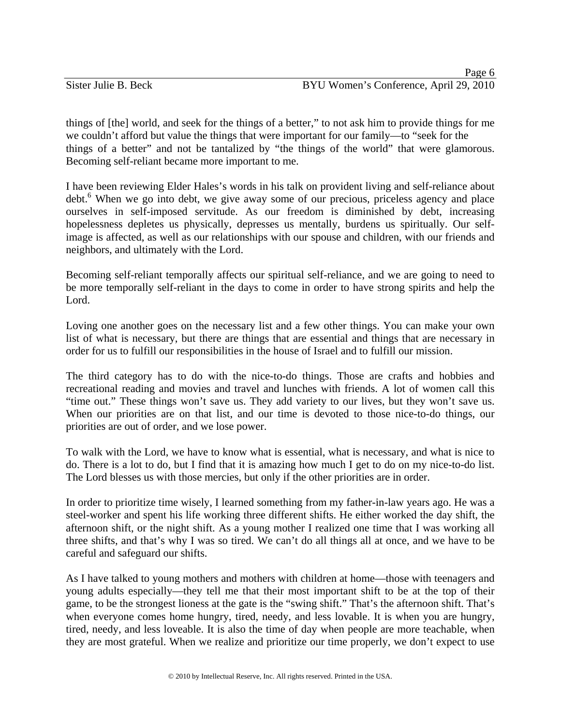things of [the] world, and seek for the things of a better," to not ask him to provide things for me we couldn't afford but value the things that were important for our family—to "seek for the things of a better" and not be tantalized by "the things of the world" that were glamorous. Becoming self-reliant became more important to me.

I have been reviewing Elder Hales's words in his talk on provident living and self-reliance about debt.<sup>6</sup> When we go into debt, we give away some of our precious, priceless agency and place ourselves in self-imposed servitude. As our freedom is diminished by debt, increasing hopelessness depletes us physically, depresses us mentally, burdens us spiritually. Our selfimage is affected, as well as our relationships with our spouse and children, with our friends and neighbors, and ultimately with the Lord.

Becoming self-reliant temporally affects our spiritual self-reliance, and we are going to need to be more temporally self-reliant in the days to come in order to have strong spirits and help the Lord.

Loving one another goes on the necessary list and a few other things. You can make your own list of what is necessary, but there are things that are essential and things that are necessary in order for us to fulfill our responsibilities in the house of Israel and to fulfill our mission.

The third category has to do with the nice-to-do things. Those are crafts and hobbies and recreational reading and movies and travel and lunches with friends. A lot of women call this "time out." These things won't save us. They add variety to our lives, but they won't save us. When our priorities are on that list, and our time is devoted to those nice-to-do things, our priorities are out of order, and we lose power.

To walk with the Lord, we have to know what is essential, what is necessary, and what is nice to do. There is a lot to do, but I find that it is amazing how much I get to do on my nice-to-do list. The Lord blesses us with those mercies, but only if the other priorities are in order.

In order to prioritize time wisely, I learned something from my father-in-law years ago. He was a steel-worker and spent his life working three different shifts. He either worked the day shift, the afternoon shift, or the night shift. As a young mother I realized one time that I was working all three shifts, and that's why I was so tired. We can't do all things all at once, and we have to be careful and safeguard our shifts.

As I have talked to young mothers and mothers with children at home—those with teenagers and young adults especially—they tell me that their most important shift to be at the top of their game, to be the strongest lioness at the gate is the "swing shift." That's the afternoon shift. That's when everyone comes home hungry, tired, needy, and less lovable. It is when you are hungry, tired, needy, and less loveable. It is also the time of day when people are more teachable, when they are most grateful. When we realize and prioritize our time properly, we don't expect to use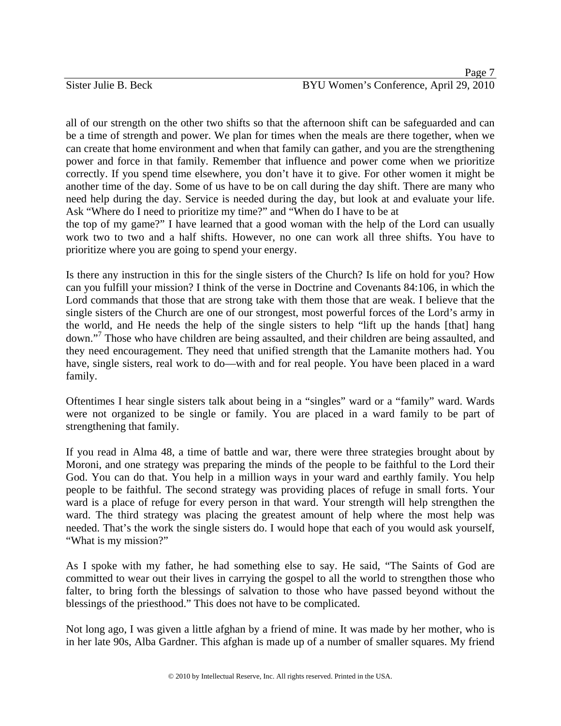all of our strength on the other two shifts so that the afternoon shift can be safeguarded and can be a time of strength and power. We plan for times when the meals are there together, when we can create that home environment and when that family can gather, and you are the strengthening power and force in that family. Remember that influence and power come when we prioritize correctly. If you spend time elsewhere, you don't have it to give. For other women it might be another time of the day. Some of us have to be on call during the day shift. There are many who need help during the day. Service is needed during the day, but look at and evaluate your life. Ask "Where do I need to prioritize my time?" and "When do I have to be at

the top of my game?" I have learned that a good woman with the help of the Lord can usually work two to two and a half shifts. However, no one can work all three shifts. You have to prioritize where you are going to spend your energy.

Is there any instruction in this for the single sisters of the Church? Is life on hold for you? How can you fulfill your mission? I think of the verse in Doctrine and Covenants 84:106, in which the Lord commands that those that are strong take with them those that are weak. I believe that the single sisters of the Church are one of our strongest, most powerful forces of the Lord's army in the world, and He needs the help of the single sisters to help "lift up the hands [that] hang down."<sup>7</sup> Those who have children are being assaulted, and their children are being assaulted, and they need encouragement. They need that unified strength that the Lamanite mothers had. You have, single sisters, real work to do—with and for real people. You have been placed in a ward family.

Oftentimes I hear single sisters talk about being in a "singles" ward or a "family" ward. Wards were not organized to be single or family. You are placed in a ward family to be part of strengthening that family.

If you read in Alma 48, a time of battle and war, there were three strategies brought about by Moroni, and one strategy was preparing the minds of the people to be faithful to the Lord their God. You can do that. You help in a million ways in your ward and earthly family. You help people to be faithful. The second strategy was providing places of refuge in small forts. Your ward is a place of refuge for every person in that ward. Your strength will help strengthen the ward. The third strategy was placing the greatest amount of help where the most help was needed. That's the work the single sisters do. I would hope that each of you would ask yourself, "What is my mission?"

As I spoke with my father, he had something else to say. He said, "The Saints of God are committed to wear out their lives in carrying the gospel to all the world to strengthen those who falter, to bring forth the blessings of salvation to those who have passed beyond without the blessings of the priesthood." This does not have to be complicated.

Not long ago, I was given a little afghan by a friend of mine. It was made by her mother, who is in her late 90s, Alba Gardner. This afghan is made up of a number of smaller squares. My friend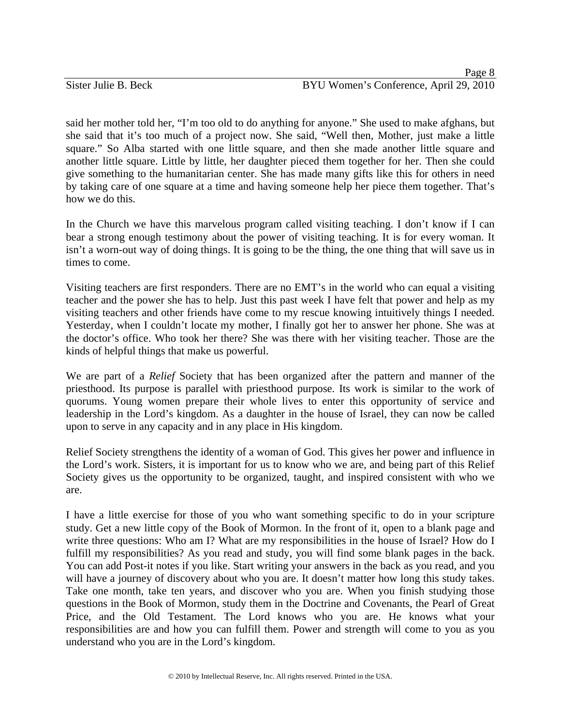said her mother told her, "I'm too old to do anything for anyone." She used to make afghans, but she said that it's too much of a project now. She said, "Well then, Mother, just make a little square." So Alba started with one little square, and then she made another little square and another little square. Little by little, her daughter pieced them together for her. Then she could give something to the humanitarian center. She has made many gifts like this for others in need by taking care of one square at a time and having someone help her piece them together. That's how we do this.

In the Church we have this marvelous program called visiting teaching. I don't know if I can bear a strong enough testimony about the power of visiting teaching. It is for every woman. It isn't a worn-out way of doing things. It is going to be the thing, the one thing that will save us in times to come.

Visiting teachers are first responders. There are no EMT's in the world who can equal a visiting teacher and the power she has to help. Just this past week I have felt that power and help as my visiting teachers and other friends have come to my rescue knowing intuitively things I needed. Yesterday, when I couldn't locate my mother, I finally got her to answer her phone. She was at the doctor's office. Who took her there? She was there with her visiting teacher. Those are the kinds of helpful things that make us powerful.

We are part of a *Relief* Society that has been organized after the pattern and manner of the priesthood. Its purpose is parallel with priesthood purpose. Its work is similar to the work of quorums. Young women prepare their whole lives to enter this opportunity of service and leadership in the Lord's kingdom. As a daughter in the house of Israel, they can now be called upon to serve in any capacity and in any place in His kingdom.

Relief Society strengthens the identity of a woman of God. This gives her power and influence in the Lord's work. Sisters, it is important for us to know who we are, and being part of this Relief Society gives us the opportunity to be organized, taught, and inspired consistent with who we are.

I have a little exercise for those of you who want something specific to do in your scripture study. Get a new little copy of the Book of Mormon. In the front of it, open to a blank page and write three questions: Who am I? What are my responsibilities in the house of Israel? How do I fulfill my responsibilities? As you read and study, you will find some blank pages in the back. You can add Post-it notes if you like. Start writing your answers in the back as you read, and you will have a journey of discovery about who you are. It doesn't matter how long this study takes. Take one month, take ten years, and discover who you are. When you finish studying those questions in the Book of Mormon, study them in the Doctrine and Covenants, the Pearl of Great Price, and the Old Testament. The Lord knows who you are. He knows what your responsibilities are and how you can fulfill them. Power and strength will come to you as you understand who you are in the Lord's kingdom.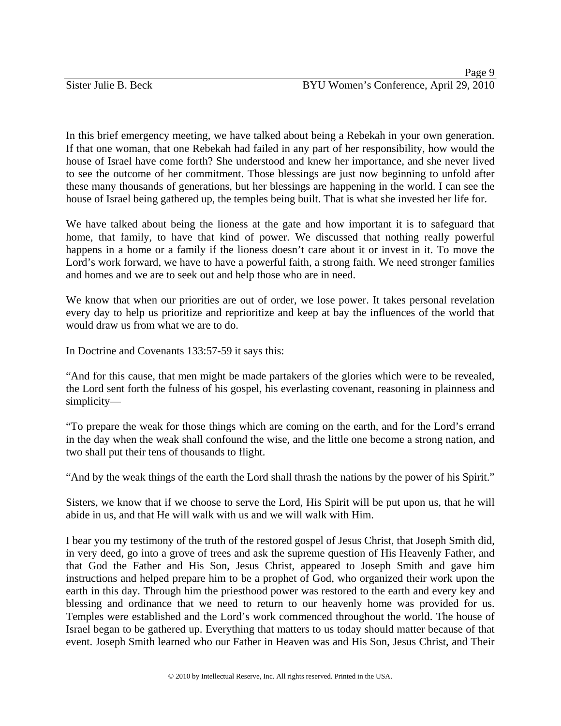In this brief emergency meeting, we have talked about being a Rebekah in your own generation. If that one woman, that one Rebekah had failed in any part of her responsibility, how would the house of Israel have come forth? She understood and knew her importance, and she never lived to see the outcome of her commitment. Those blessings are just now beginning to unfold after these many thousands of generations, but her blessings are happening in the world. I can see the house of Israel being gathered up, the temples being built. That is what she invested her life for.

We have talked about being the lioness at the gate and how important it is to safeguard that home, that family, to have that kind of power. We discussed that nothing really powerful happens in a home or a family if the lioness doesn't care about it or invest in it. To move the Lord's work forward, we have to have a powerful faith, a strong faith. We need stronger families and homes and we are to seek out and help those who are in need.

We know that when our priorities are out of order, we lose power. It takes personal revelation every day to help us prioritize and reprioritize and keep at bay the influences of the world that would draw us from what we are to do.

In Doctrine and Covenants 133:57-59 it says this:

"And for this cause, that men might be made partakers of the glories which were to be revealed, the Lord sent forth the fulness of his gospel, his everlasting covenant, reasoning in plainness and simplicity—

"To prepare the weak for those things which are coming on the earth, and for the Lord's errand in the day when the weak shall confound the wise, and the little one become a strong nation, and two shall put their tens of thousands to flight.

"And by the weak things of the earth the Lord shall thrash the nations by the power of his Spirit."

Sisters, we know that if we choose to serve the Lord, His Spirit will be put upon us, that he will abide in us, and that He will walk with us and we will walk with Him.

I bear you my testimony of the truth of the restored gospel of Jesus Christ, that Joseph Smith did, in very deed, go into a grove of trees and ask the supreme question of His Heavenly Father, and that God the Father and His Son, Jesus Christ, appeared to Joseph Smith and gave him instructions and helped prepare him to be a prophet of God, who organized their work upon the earth in this day. Through him the priesthood power was restored to the earth and every key and blessing and ordinance that we need to return to our heavenly home was provided for us. Temples were established and the Lord's work commenced throughout the world. The house of Israel began to be gathered up. Everything that matters to us today should matter because of that event. Joseph Smith learned who our Father in Heaven was and His Son, Jesus Christ, and Their